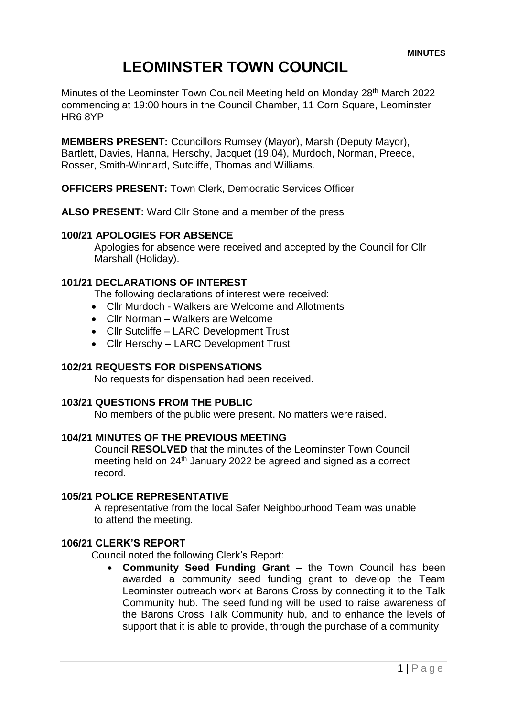# **LEOMINSTER TOWN COUNCIL**

Minutes of the Leominster Town Council Meeting held on Monday 28<sup>th</sup> March 2022 commencing at 19:00 hours in the Council Chamber, 11 Corn Square, Leominster HR6 8YP

**MEMBERS PRESENT:** Councillors Rumsey (Mayor), Marsh (Deputy Mayor), Bartlett, Davies, Hanna, Herschy, Jacquet (19.04), Murdoch, Norman, Preece, Rosser, Smith-Winnard, Sutcliffe, Thomas and Williams.

**OFFICERS PRESENT:** Town Clerk, Democratic Services Officer

**ALSO PRESENT:** Ward Cllr Stone and a member of the press

## **100/21 APOLOGIES FOR ABSENCE**

Apologies for absence were received and accepted by the Council for Cllr Marshall (Holiday).

## **101/21 DECLARATIONS OF INTEREST**

The following declarations of interest were received:

- Cllr Murdoch Walkers are Welcome and Allotments
- Cllr Norman Walkers are Welcome
- Cllr Sutcliffe LARC Development Trust
- Cllr Herschy LARC Development Trust

## **102/21 REQUESTS FOR DISPENSATIONS**

No requests for dispensation had been received.

#### **103/21 QUESTIONS FROM THE PUBLIC**

No members of the public were present. No matters were raised.

## **104/21 MINUTES OF THE PREVIOUS MEETING**

Council **RESOLVED** that the minutes of the Leominster Town Council meeting held on 24<sup>th</sup> January 2022 be agreed and signed as a correct record.

## **105/21 POLICE REPRESENTATIVE**

A representative from the local Safer Neighbourhood Team was unable to attend the meeting.

#### **106/21 CLERK'S REPORT**

Council noted the following Clerk's Report:

 **Community Seed Funding Grant** – the Town Council has been awarded a community seed funding grant to develop the Team Leominster outreach work at Barons Cross by connecting it to the Talk Community hub. The seed funding will be used to raise awareness of the Barons Cross Talk Community hub, and to enhance the levels of support that it is able to provide, through the purchase of a community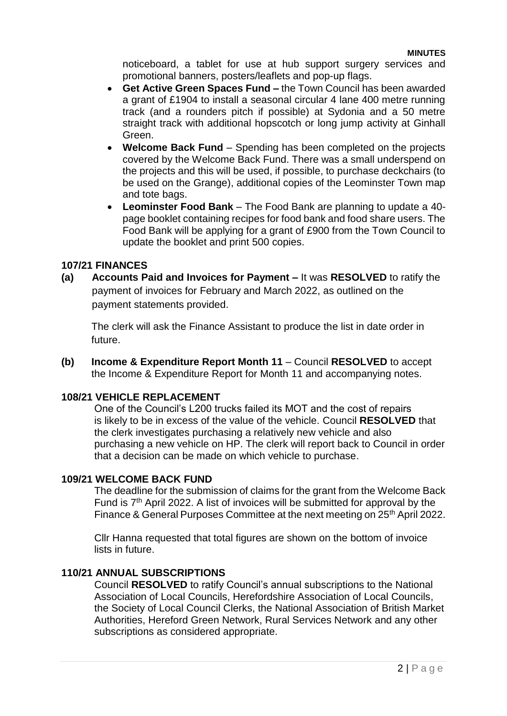noticeboard, a tablet for use at hub support surgery services and promotional banners, posters/leaflets and pop-up flags.

- **Get Active Green Spaces Fund –** the Town Council has been awarded a grant of £1904 to install a seasonal circular 4 lane 400 metre running track (and a rounders pitch if possible) at Sydonia and a 50 metre straight track with additional hopscotch or long jump activity at Ginhall Green.
- **Welcome Back Fund** Spending has been completed on the projects covered by the Welcome Back Fund. There was a small underspend on the projects and this will be used, if possible, to purchase deckchairs (to be used on the Grange), additional copies of the Leominster Town map and tote bags.
- **Leominster Food Bank** The Food Bank are planning to update a 40 page booklet containing recipes for food bank and food share users. The Food Bank will be applying for a grant of £900 from the Town Council to update the booklet and print 500 copies.

## **107/21 FINANCES**

**(a) Accounts Paid and Invoices for Payment –** It was **RESOLVED** to ratify the payment of invoices for February and March 2022, as outlined on the payment statements provided.

The clerk will ask the Finance Assistant to produce the list in date order in future.

**(b) Income & Expenditure Report Month 11** – Council **RESOLVED** to accept the Income & Expenditure Report for Month 11 and accompanying notes.

## **108/21 VEHICLE REPLACEMENT**

One of the Council's L200 trucks failed its MOT and the cost of repairs is likely to be in excess of the value of the vehicle. Council **RESOLVED** that the clerk investigates purchasing a relatively new vehicle and also purchasing a new vehicle on HP. The clerk will report back to Council in order that a decision can be made on which vehicle to purchase.

## **109/21 WELCOME BACK FUND**

The deadline for the submission of claims for the grant from the Welcome Back Fund is 7<sup>th</sup> April 2022. A list of invoices will be submitted for approval by the Finance & General Purposes Committee at the next meeting on 25<sup>th</sup> April 2022.

Cllr Hanna requested that total figures are shown on the bottom of invoice lists in future.

## **110/21 ANNUAL SUBSCRIPTIONS**

Council **RESOLVED** to ratify Council's annual subscriptions to the National Association of Local Councils, Herefordshire Association of Local Councils, the Society of Local Council Clerks, the National Association of British Market Authorities, Hereford Green Network, Rural Services Network and any other subscriptions as considered appropriate.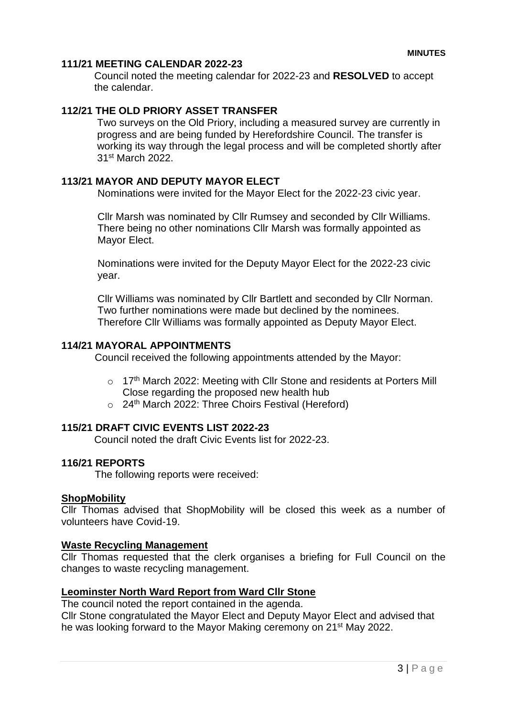## **111/21 MEETING CALENDAR 2022-23**

Council noted the meeting calendar for 2022-23 and **RESOLVED** to accept the calendar.

## **112/21 THE OLD PRIORY ASSET TRANSFER**

Two surveys on the Old Priory, including a measured survey are currently in progress and are being funded by Herefordshire Council. The transfer is working its way through the legal process and will be completed shortly after 31st March 2022.

## **113/21 MAYOR AND DEPUTY MAYOR ELECT**

Nominations were invited for the Mayor Elect for the 2022-23 civic year.

Cllr Marsh was nominated by Cllr Rumsey and seconded by Cllr Williams. There being no other nominations Cllr Marsh was formally appointed as Mayor Elect.

Nominations were invited for the Deputy Mayor Elect for the 2022-23 civic year.

Cllr Williams was nominated by Cllr Bartlett and seconded by Cllr Norman. Two further nominations were made but declined by the nominees. Therefore Cllr Williams was formally appointed as Deputy Mayor Elect.

#### **114/21 MAYORAL APPOINTMENTS**

Council received the following appointments attended by the Mayor:

- o 17<sup>th</sup> March 2022: Meeting with Cllr Stone and residents at Porters Mill Close regarding the proposed new health hub
- $\circ$  24<sup>th</sup> March 2022: Three Choirs Festival (Hereford)

## **115/21 DRAFT CIVIC EVENTS LIST 2022-23**

Council noted the draft Civic Events list for 2022-23.

## **116/21 REPORTS**

The following reports were received:

#### **ShopMobility**

Cllr Thomas advised that ShopMobility will be closed this week as a number of volunteers have Covid-19.

#### **Waste Recycling Management**

Cllr Thomas requested that the clerk organises a briefing for Full Council on the changes to waste recycling management.

## **Leominster North Ward Report from Ward Cllr Stone**

The council noted the report contained in the agenda.

Cllr Stone congratulated the Mayor Elect and Deputy Mayor Elect and advised that he was looking forward to the Mayor Making ceremony on 21st May 2022.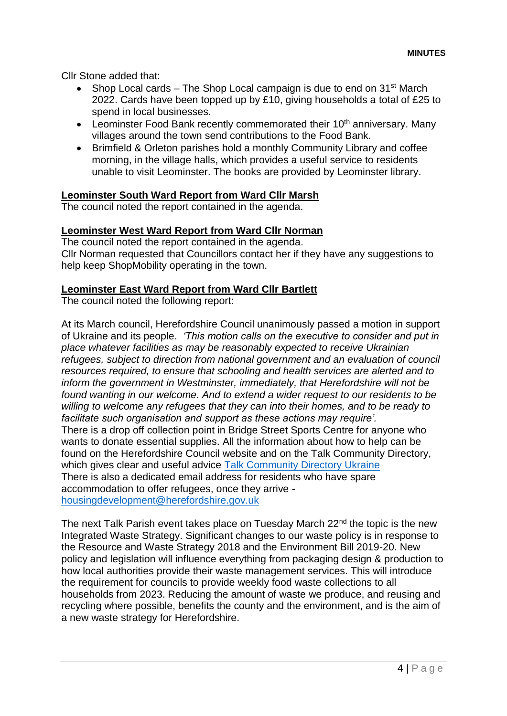Cllr Stone added that:

- Shop Local cards The Shop Local campaign is due to end on 31st March 2022. Cards have been topped up by £10, giving households a total of £25 to spend in local businesses.
- **•** Leominster Food Bank recently commemorated their  $10<sup>th</sup>$  anniversary. Many villages around the town send contributions to the Food Bank.
- Brimfield & Orleton parishes hold a monthly Community Library and coffee morning, in the village halls, which provides a useful service to residents unable to visit Leominster. The books are provided by Leominster library.

## **Leominster South Ward Report from Ward Cllr Marsh**

The council noted the report contained in the agenda.

## **Leominster West Ward Report from Ward Cllr Norman**

The council noted the report contained in the agenda. Cllr Norman requested that Councillors contact her if they have any suggestions to help keep ShopMobility operating in the town.

#### **Leominster East Ward Report from Ward Cllr Bartlett**

The council noted the following report:

At its March council, Herefordshire Council unanimously passed a motion in support of Ukraine and its people. *'This motion calls on the executive to consider and put in place whatever facilities as may be reasonably expected to receive Ukrainian refugees, subject to direction from national government and an evaluation of council resources required, to ensure that schooling and health services are alerted and to inform the government in Westminster, immediately, that Herefordshire will not be found wanting in our welcome. And to extend a wider request to our residents to be willing to welcome any refugees that they can into their homes, and to be ready to facilitate such organisation and support as these actions may require'.* There is a drop off collection point in Bridge Street Sports Centre for anyone who wants to donate essential supplies. All the information about how to help can be found on the Herefordshire Council website and on the Talk Community Directory, which gives clear and useful advice [Talk Community Directory Ukraine](https://www.talkcommunitydirectory.org/ukraine) There is also a dedicated email address for residents who have spare accommodation to offer refugees, once they arrive [housingdevelopment@herefordshire.gov.uk](mailto:housingdevelopment@herefordshire.gov.uk)

The next Talk Parish event takes place on Tuesday March  $22<sup>nd</sup>$  the topic is the new Integrated Waste Strategy. Significant changes to our waste policy is in response to the Resource and Waste Strategy 2018 and the Environment Bill 2019-20. New policy and legislation will influence everything from packaging design & production to how local authorities provide their waste management services. This will introduce the requirement for councils to provide weekly food waste collections to all households from 2023. Reducing the amount of waste we produce, and reusing and recycling where possible, benefits the county and the environment, and is the aim of a new waste strategy for Herefordshire.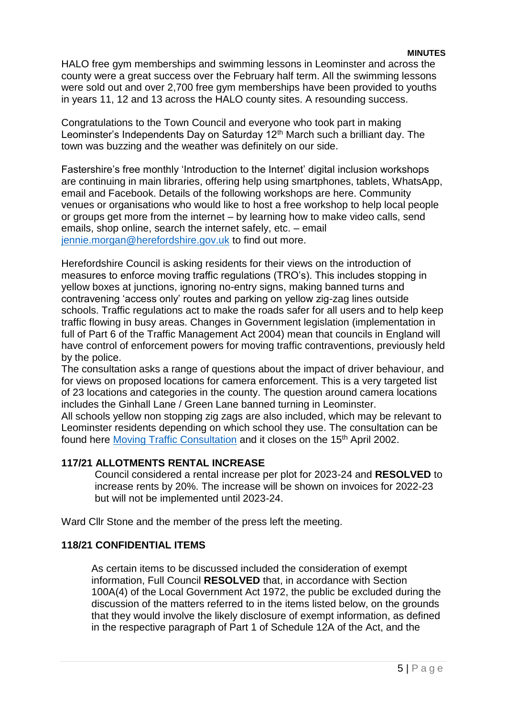HALO free gym memberships and swimming lessons in Leominster and across the county were a great success over the February half term. All the swimming lessons were sold out and over 2,700 free gym memberships have been provided to youths in years 11, 12 and 13 across the HALO county sites. A resounding success.

Congratulations to the Town Council and everyone who took part in making Leominster's Independents Day on Saturday 12<sup>th</sup> March such a brilliant day. The town was buzzing and the weather was definitely on our side.

Fastershire's free monthly 'Introduction to the Internet' digital inclusion workshops are continuing in main libraries, offering help using smartphones, tablets, WhatsApp, email and Facebook. Details of the following workshops are here. Community venues or organisations who would like to host a free workshop to help local people or groups get more from the internet – by learning how to make video calls, send emails, shop online, search the internet safely, etc. – email [jennie.morgan@herefordshire.gov.uk](mailto:jennie.morgan@herefordshire.gov.uk) to find out more.

Herefordshire Council is asking residents for their views on the introduction of measures to enforce moving traffic regulations (TRO's). This includes stopping in yellow boxes at junctions, ignoring no-entry signs, making banned turns and contravening 'access only' routes and parking on yellow zig-zag lines outside schools. Traffic regulations act to make the roads safer for all users and to help keep traffic flowing in busy areas. Changes in Government legislation (implementation in full of Part 6 of the Traffic Management Act 2004) mean that councils in England will have control of enforcement powers for moving traffic contraventions, previously held by the police.

The consultation asks a range of questions about the impact of driver behaviour, and for views on proposed locations for camera enforcement. This is a very targeted list of 23 locations and categories in the county. The question around camera locations includes the Ginhall Lane / Green Lane banned turning in Leominster.

All schools yellow non stopping zig zags are also included, which may be relevant to Leominster residents depending on which school they use. The consultation can be found here [Moving Traffic Consultation](http://www.herefordshire.gov.uk/moving-traffic-consultation) and it closes on the 15<sup>th</sup> April 2002.

# **117/21 ALLOTMENTS RENTAL INCREASE**

Council considered a rental increase per plot for 2023-24 and **RESOLVED** to increase rents by 20%. The increase will be shown on invoices for 2022-23 but will not be implemented until 2023-24.

Ward Cllr Stone and the member of the press left the meeting.

# **118/21 CONFIDENTIAL ITEMS**

As certain items to be discussed included the consideration of exempt information, Full Council **RESOLVED** that, in accordance with Section 100A(4) of the Local Government Act 1972, the public be excluded during the discussion of the matters referred to in the items listed below, on the grounds that they would involve the likely disclosure of exempt information, as defined in the respective paragraph of Part 1 of Schedule 12A of the Act, and the